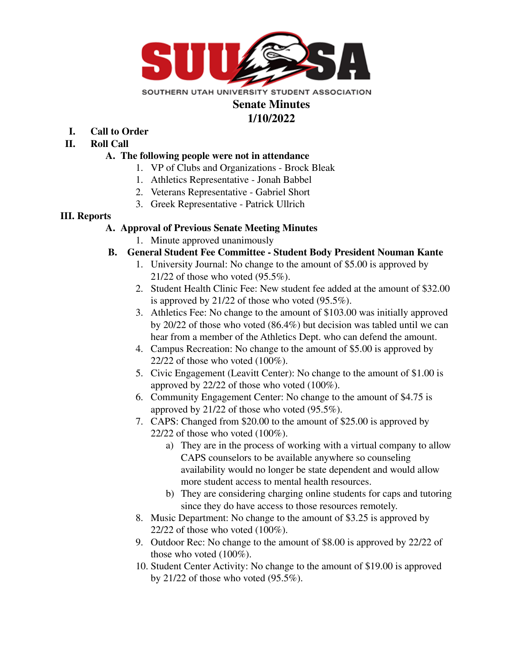

# **Senate Minutes**

# **1/10/2022**

- **I. Call to Order**
- **II. Roll Call**

# **A. The following people were not in attendance**

- 1. VP of Clubs and Organizations Brock Bleak
- 1. Athletics Representative Jonah Babbel
- 2. Veterans Representative Gabriel Short
- 3. Greek Representative Patrick Ullrich

### **III. Reports**

### **A. Approval of Previous Senate Meeting Minutes**

1. Minute approved unanimously

# **B. General Student Fee Committee - Student Body President Nouman Kante**

- 1. University Journal: No change to the amount of \$5.00 is approved by 21/22 of those who voted (95.5%).
- 2. Student Health Clinic Fee: New student fee added at the amount of \$32.00 is approved by 21/22 of those who voted (95.5%).
- 3. Athletics Fee: No change to the amount of \$103.00 was initially approved by 20/22 of those who voted (86.4%) but decision was tabled until we can hear from a member of the Athletics Dept. who can defend the amount.
- 4. Campus Recreation: No change to the amount of \$5.00 is approved by 22/22 of those who voted  $(100\%)$ .
- 5. Civic Engagement (Leavitt Center): No change to the amount of \$1.00 is approved by 22/22 of those who voted (100%).
- 6. Community Engagement Center: No change to the amount of \$4.75 is approved by 21/22 of those who voted (95.5%).
- 7. CAPS: Changed from \$20.00 to the amount of \$25.00 is approved by 22/22 of those who voted (100%).
	- a) They are in the process of working with a virtual company to allow CAPS counselors to be available anywhere so counseling availability would no longer be state dependent and would allow more student access to mental health resources.
	- b) They are considering charging online students for caps and tutoring since they do have access to those resources remotely.
- 8. Music Department: No change to the amount of \$3.25 is approved by 22/22 of those who voted (100%).
- 9. Outdoor Rec: No change to the amount of \$8.00 is approved by 22/22 of those who voted (100%).
- 10. Student Center Activity: No change to the amount of \$19.00 is approved by 21/22 of those who voted  $(95.5\%)$ .